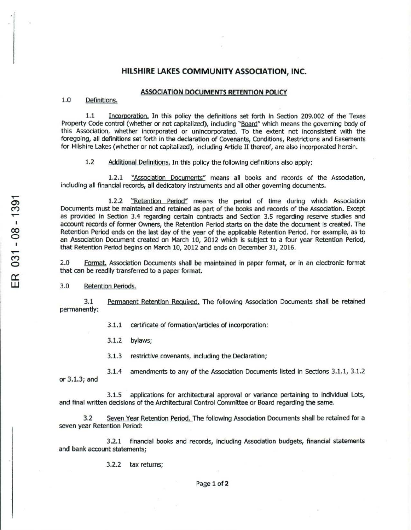## HILSHIRE LAKES COMMUNITY ASSOCIATION, INC.

## **ASSOCIATION DOCUMENTS RETENTION POLICY**

## 1.0 Definitions.

 $1.1$ Incorporation. In this policy the definitions set forth in Section 209.002 of the Texas Property Code control (whether or not capitalized), including "Board" which means the governing body of this Association, whether incorporated or unincorporated. To the extent not inconsistent with the foregoing, all definitions set forth in the declaration of Covenants, Conditions, Restrictions and Easements for Hilshire Lakes (whether or not capitalized), including Article II thereof, are also incorporated herein.

 $1.2$ Additional Definitions. In this policy the following definitions also apply:

 $1.2.1$ "Association Documents" means all books and records of the Association, including all financial records, all dedicatory instruments and all other governing documents.

"Retention Period" means the period of time during which Association  $1.2.2$ Documents must be maintained and retained as part of the books and records of the Association. Except as provided in Section 3.4 regarding certain contracts and Section 3.5 regarding reserve studies and account records of former Owners, the Retention Period starts on the date the document is created. The Retention Period ends on the last day of the year of the applicable Retention Period. For example, as to an Association Document created on March 10, 2012 which is subject to a four year Retention Period, that Retention Period begins on March 10, 2012 and ends on December 31, 2016.

 $2.0$ Format, Association Documents shall be maintained in paper format, or in an electronic format that can be readily transferred to a paper format.

 $3.0$ **Retention Periods.** 

 $3.1$ Permanent Retention Required. The following Association Documents shall be retained permanently:

> $3.1.1$ certificate of formation/articles of incorporation;

 $3.1.2$ bylaws;

3.1.3 restrictive covenants, including the Declaration;

amendments to any of the Association Documents listed in Sections 3.1.1, 3.1.2  $3.1.4$ or 3.1.3; and

applications for architectural approval or variance pertaining to individual Lots,  $3.1.5$ and final written decisions of the Architectural Control Committee or Board regarding the same.

 $3.2$ Seven Year Retention Period. The following Association Documents shall be retained for a seven year Retention Period:

financial books and records, including Association budgets, financial statements  $3.2.1$ and bank account statements;

3.2.2 tax returns;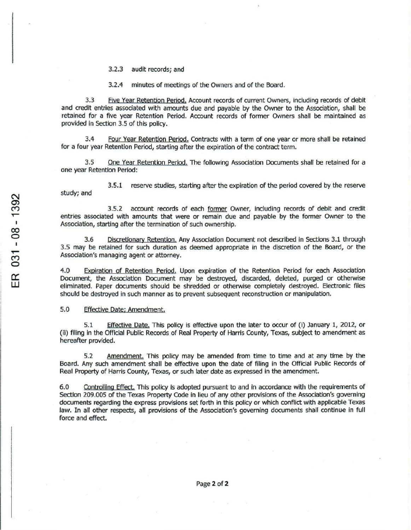3.2.3 audit records; and

3.2.4 minutes of meetings of the Owners and of the Board.

3.3 Five Year Retention Period, Account records of current Owners, including records of debit and credit entries associated with amounts due and payable by the Owner to the Assodation, shall be retained for a five year Retention Period. Account records of former Owners shall be maintained as provided in Section 3.5 of this policy.

3.4 Four Year Retention Period. Contracts with a term of one year or more shall be retained for a four year Retention Period, starting after the expiration of the contract term.

3.5 One Year Retention Period. The following Association Documents shall be retained for a one year Retention Period:

3.5.1 reserve studies, starting after the expiration of the period covered by the reserve study; and

3.5.2 account records of each former Owner, including records of debit and credit entries associated with amounts that were or remain due and payable by the former Owner to the AsSOCiation, starting after the termination of such ownership.

3.6 Discretionary Retention. Any Association Document not described in Sections 3.1 through 3.5 may be retained for such duration as deemed appropriate in the discretion of the Board, or the Association's managing agent or attorney.

4.0 Expiration of Retention Period. Upon expiration of the Retention Period for each Association Document, the Association Document may be destroyed, discarded, deleted, purged or otherwise eliminated. Paper documents should be shredded or otherwise completely destroyed. Electronic files should be destroyed in such manner as to prevent subsequent reconstruction or manipulation.

5.0 Effective Date: Amendment.

5.1 Effectiye Date. This policy is effective upon the later to occur of (i) January 1, 2012, or (ii) filing in the Official Public Records of Real Property of Harris County, Texas, subject to amendment as hereafter provided.

5.2 Amendment. This policy may be amended from time to time and at any time by the Board. Any such amendment shall be effective upon the date of filing in the Official Public Records of Real Property of Harris County, Texas, or such later date as expressed in the amendment.

6.0 Controlling Effect. This policy is adopted pursuant to and in accordance with the requirements of Section 209.005 of the Texas Property Code in lieu of any other provisions of the Association's governing documents regarding the express provisions set forth in this policy or which conflict with applicable Texas law. In all other respects, all provisions of the Association's governing documents shall continue in full force and effect.